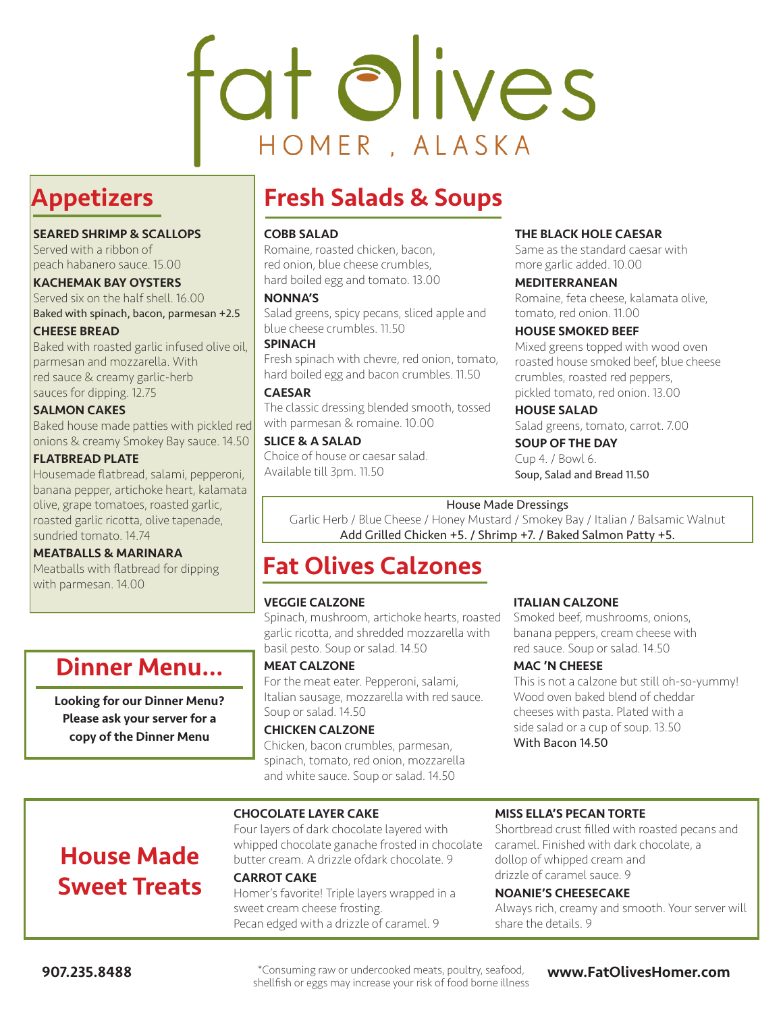# fat olives HOMER, ALASKA

## Appetizers

#### SEARED SHRIMP & SCALLOPS

Served with a ribbon of peach habanero sauce. 15.00

KACHEMAK BAY OYSTERS Served six on the half shell. 16.00 Baked with spinach, bacon, parmesan +2.5

CHEESE BREAD

Baked with roasted garlic infused olive oil, parmesan and mozzarella. With red sauce & creamy garlic-herb sauces for dipping. 12.75

#### SALMON CAKES

Baked house made patties with pickled red onions & creamy Smokey Bay sauce. 14.50

#### FLATBREAD PLATE

Housemade flatbread, salami, pepperoni, banana pepper, artichoke heart, kalamata olive, grape tomatoes, roasted garlic, roasted garlic ricotta, olive tapenade, sundried tomato. 14.74

#### MEATBALLS & MARINARA

Meatballs with flatbread for dipping with parmesan. 14.00

## Dinner Menu...

Looking for our Dinner Menu? Please ask your server for a copy of the Dinner Menu

House Made

Sweet Treats

## Fresh Salads & Soups

#### COBB SALAD

Romaine, roasted chicken, bacon, red onion, blue cheese crumbles, hard boiled egg and tomato. 13.00

#### NONNA'S

Salad greens, spicy pecans, sliced apple and blue cheese crumbles. 11.50

#### **SPINACH**

Fresh spinach with chevre, red onion, tomato, hard boiled egg and bacon crumbles. 11.50

#### CAESAR

The classic dressing blended smooth, tossed with parmesan & romaine. 10.00

#### SLICE & A SALAD

Choice of house or caesar salad. Available till 3pm. 11.50

#### THE BLACK HOLE CAESAR

Same as the standard caesar with more garlic added. 10.00

#### MEDITERRANEAN

Romaine, feta cheese, kalamata olive, tomato, red onion. 11.00

#### HOUSE SMOKED BEEF

Mixed greens topped with wood oven roasted house smoked beef, blue cheese crumbles, roasted red peppers, pickled tomato, red onion. 13.00

#### HOUSE SALAD

Salad greens, tomato, carrot. 7.00 SOUP OF THE DAY

#### Cup 4. / Bowl 6.

Soup, Salad and Bread 11.50

#### House Made Dressings

Garlic Herb / Blue Cheese / Honey Mustard / Smokey Bay / Italian / Balsamic Walnut Add Grilled Chicken +5. / Shrimp +7. / Baked Salmon Patty +5.

## Fat Olives Calzones

#### VEGGIE CALZONE

Spinach, mushroom, artichoke hearts, roasted garlic ricotta, and shredded mozzarella with basil pesto. Soup or salad. 14.50

#### MEAT CALZONE

For the meat eater. Pepperoni, salami, Italian sausage, mozzarella with red sauce. Soup or salad. 14.50

#### CHICKEN CALZONE

Chicken, bacon crumbles, parmesan, spinach, tomato, red onion, mozzarella and white sauce. Soup or salad. 14.50

#### ITALIAN CALZONE

Smoked beef, mushrooms, onions, banana peppers, cream cheese with red sauce. Soup or salad. 14.50

#### MAC 'N CHEESE

This is not a calzone but still oh-so-yummy! Wood oven baked blend of cheddar cheeses with pasta. Plated with a side salad or a cup of soup. 13.50 With Bacon 14.50

#### CHOCOLATE LAYER CAKE

Four layers of dark chocolate layered with whipped chocolate ganache frosted in chocolate butter cream. A drizzle ofdark chocolate. 9 CARROT CAKE

Homer's favorite! Triple layers wrapped in a sweet cream cheese frosting. Pecan edged with a drizzle of caramel. 9

#### MISS ELLA'S PECAN TORTE

Shortbread crust filled with roasted pecans and caramel. Finished with dark chocolate, a dollop of whipped cream and drizzle of caramel sauce. 9

#### NOANIE'S CHEESECAKE

Always rich, creamy and smooth. Your server will share the details. 9

907.235.8488 **wave applement of the state of the state of the state of the state of the state of the state of the state of the state of the state of the state of the state of the state of the state of the state of the stat** shellfish or eggs may increase your risk of food borne illness